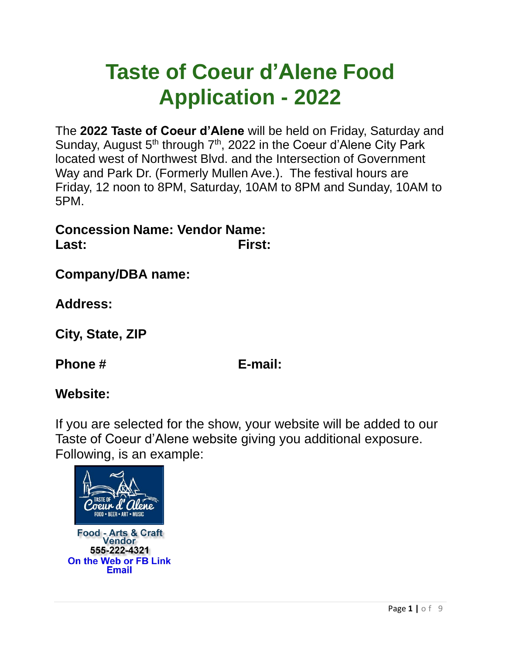# **Taste of Coeur d'Alene Food Application - 2022**

The **2022 Taste of Coeur d'Alene** will be held on Friday, Saturday and Sunday, August 5<sup>th</sup> through 7<sup>th</sup>, 2022 in the Coeur d'Alene City Park located west of Northwest Blvd. and the Intersection of Government Way and Park Dr. (Formerly Mullen Ave.). The festival hours are Friday, 12 noon to 8PM, Saturday, 10AM to 8PM and Sunday, 10AM to 5PM.

**Concession Name: Vendor Name: Last: First:**

**Company/DBA name:** 

**Address:**

**City, State, ZIP**

**Phone # E-mail:** 

# **Website:**

If you are selected for the show, your website will be added to our Taste of Coeur d'Alene website giving you additional exposure. Following, is an example:

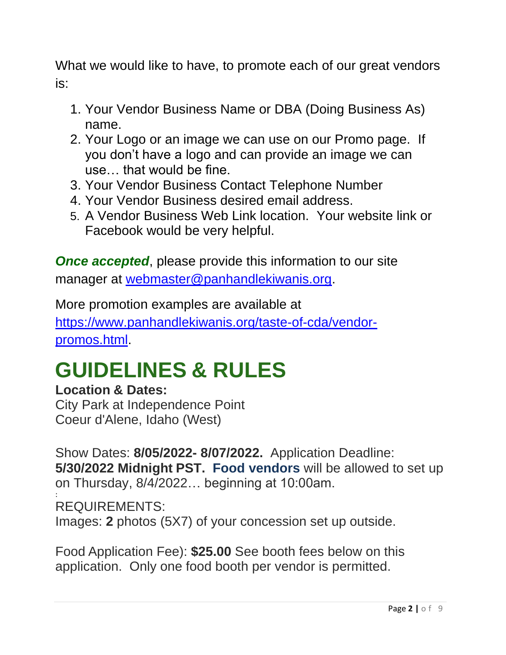What we would like to have, to promote each of our great vendors is:

- 1. Your Vendor Business Name or DBA (Doing Business As) name.
- 2. Your Logo or an image we can use on our Promo page. If you don't have a logo and can provide an image we can use… that would be fine.
- 3. Your Vendor Business Contact Telephone Number
- 4. Your Vendor Business desired email address.
- 5. A Vendor Business Web Link location. Your website link or Facebook would be very helpful.

**Once accepted,** please provide this information to our site manager at [webmaster@panhandlekiwanis.org.](mailto:webmaster@panhandlekiwanis.org)

More promotion examples are available at [https://www.panhandlekiwanis.org/taste-of-cda/vendor](https://www.panhandlekiwanis.org/taste-of-cda/vendor-promos.html)[promos.html.](https://www.panhandlekiwanis.org/taste-of-cda/vendor-promos.html)

# **GUIDELINES & RULES**

# **Location & Dates:**

City Park at Independence Point Coeur d'Alene, Idaho (West)

Show Dates: **8/05/2022- 8/07/2022.** Application Deadline: **5/30/2022 Midnight PST. Food vendors** will be allowed to set up on Thursday, 8/4/2022… beginning at 10:00am.

: REQUIREMENTS:

Images: **2** photos (5X7) of your concession set up outside.

Food Application Fee): **\$25.00** See booth fees below on this application. Only one food booth per vendor is permitted.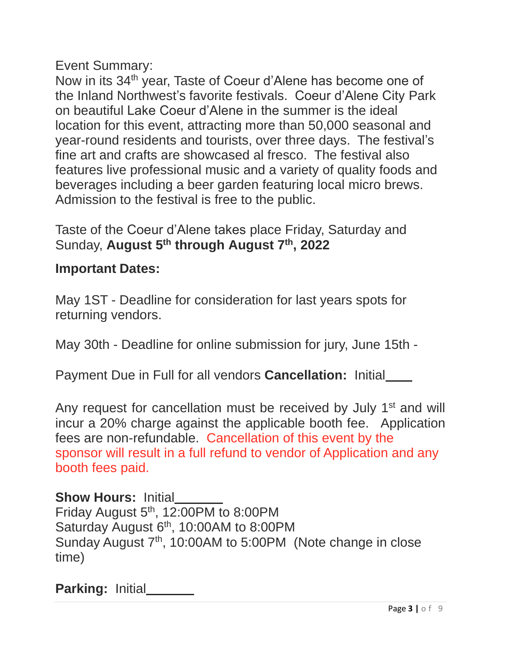Event Summary:

Now in its 34<sup>th</sup> year, Taste of Coeur d'Alene has become one of the Inland Northwest's favorite festivals. Coeur d'Alene City Park on beautiful Lake Coeur d'Alene in the summer is the ideal location for this event, attracting more than 50,000 seasonal and year-round residents and tourists, over three days. The festival's fine art and crafts are showcased al fresco. The festival also features live professional music and a variety of quality foods and beverages including a beer garden featuring local micro brews. Admission to the festival is free to the public.

Taste of the Coeur d'Alene takes place Friday, Saturday and Sunday, **August 5 th through August 7 th , 2022**

#### **Important Dates:**

May 1ST - Deadline for consideration for last years spots for returning vendors.

May 30th - Deadline for online submission for jury, June 15th -

Payment Due in Full for all vendors **Cancellation:** Initial

Any request for cancellation must be received by July 1<sup>st</sup> and will incur a 20% charge against the applicable booth fee. Application fees are non-refundable. Cancellation of this event by the sponsor will result in a full refund to vendor of Application and any booth fees paid.

### **Show Hours:** Initial

Friday August  $5<sup>th</sup>$ , 12:00PM to 8:00PM Saturday August 6<sup>th</sup>, 10:00AM to 8:00PM Sunday August 7<sup>th</sup>, 10:00AM to 5:00PM (Note change in close time)

**Parking: Initial\_\_\_**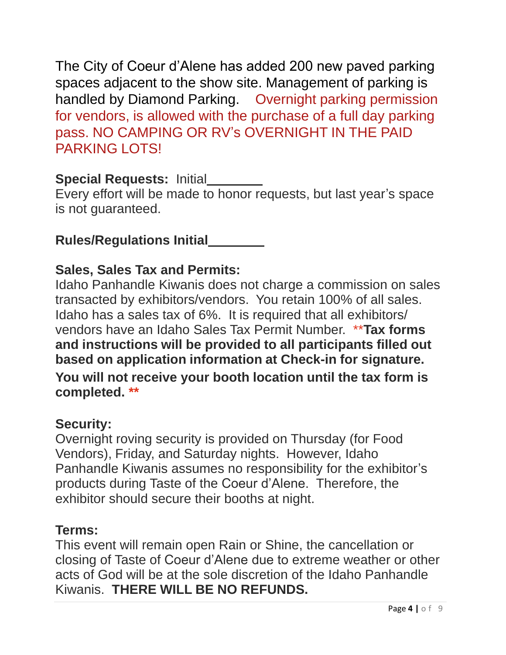The City of Coeur d'Alene has added 200 new paved parking spaces adjacent to the show site. Management of parking is handled by Diamond Parking. Overnight parking permission for vendors, is allowed with the purchase of a full day parking pass. NO CAMPING OR RV's OVERNIGHT IN THE PAID PARKING LOTS!

### **Special Requests:** Initial

Every effort will be made to honor requests, but last year's space is not guaranteed.

# **Rules/Regulations Initial**

# **Sales, Sales Tax and Permits:**

Idaho Panhandle Kiwanis does not charge a commission on sales transacted by exhibitors/vendors. You retain 100% of all sales. Idaho has a sales tax of 6%. It is required that all exhibitors/ vendors have an Idaho Sales Tax Permit Number. \*\***Tax forms and instructions will be provided to all participants filled out based on application information at Check-in for signature. You will not receive your booth location until the tax form is completed. \*\***

### **Security:**

Overnight roving security is provided on Thursday (for Food Vendors), Friday, and Saturday nights. However, Idaho Panhandle Kiwanis assumes no responsibility for the exhibitor's products during Taste of the Coeur d'Alene. Therefore, the exhibitor should secure their booths at night.

### **Terms:**

This event will remain open Rain or Shine, the cancellation or closing of Taste of Coeur d'Alene due to extreme weather or other acts of God will be at the sole discretion of the Idaho Panhandle Kiwanis. **THERE WILL BE NO REFUNDS.**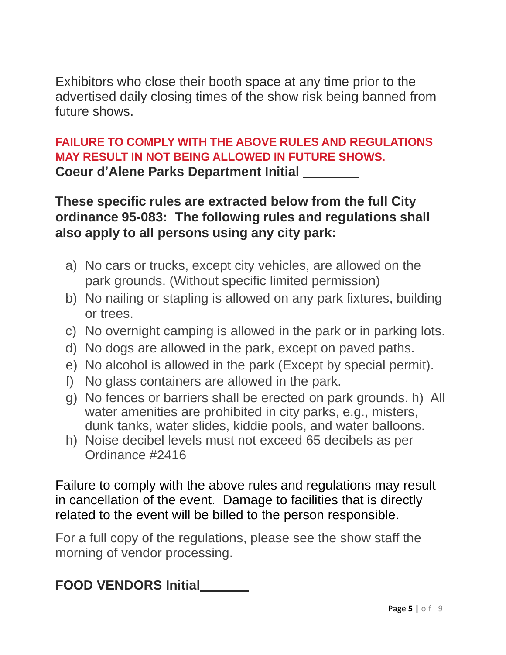Exhibitors who close their booth space at any time prior to the advertised daily closing times of the show risk being banned from future shows.

### **FAILURE TO COMPLY WITH THE ABOVE RULES AND REGULATIONS MAY RESULT IN NOT BEING ALLOWED IN FUTURE SHOWS. Coeur d'Alene Parks Department Initial**

**These specific rules are extracted below from the full City ordinance 95-083: The following rules and regulations shall also apply to all persons using any city park:**

- a) No cars or trucks, except city vehicles, are allowed on the park grounds. (Without specific limited permission)
- b) No nailing or stapling is allowed on any park fixtures, building or trees.
- c) No overnight camping is allowed in the park or in parking lots.
- d) No dogs are allowed in the park, except on paved paths.
- e) No alcohol is allowed in the park (Except by special permit).
- f) No glass containers are allowed in the park.
- g) No fences or barriers shall be erected on park grounds. h) All water amenities are prohibited in city parks, e.g., misters, dunk tanks, water slides, kiddie pools, and water balloons.
- h) Noise decibel levels must not exceed 65 decibels as per Ordinance #2416

Failure to comply with the above rules and regulations may result in cancellation of the event. Damage to facilities that is directly related to the event will be billed to the person responsible.

For a full copy of the regulations, please see the show staff the morning of vendor processing.

# **FOOD VENDORS Initial**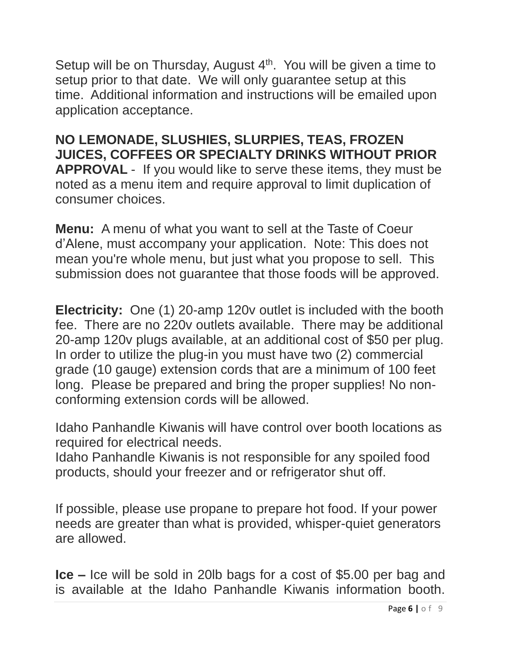Setup will be on Thursday, August  $4<sup>th</sup>$ . You will be given a time to setup prior to that date. We will only guarantee setup at this time. Additional information and instructions will be emailed upon application acceptance.

**NO LEMONADE, SLUSHIES, SLURPIES, TEAS, FROZEN JUICES, COFFEES OR SPECIALTY DRINKS WITHOUT PRIOR APPROVAL** - If you would like to serve these items, they must be noted as a menu item and require approval to limit duplication of consumer choices.

**Menu:** A menu of what you want to sell at the Taste of Coeur d'Alene, must accompany your application. Note: This does not mean you're whole menu, but just what you propose to sell. This submission does not guarantee that those foods will be approved.

**Electricity:** One (1) 20-amp 120v outlet is included with the booth fee. There are no 220v outlets available. There may be additional 20-amp 120v plugs available, at an additional cost of \$50 per plug. In order to utilize the plug-in you must have two (2) commercial grade (10 gauge) extension cords that are a minimum of 100 feet long. Please be prepared and bring the proper supplies! No nonconforming extension cords will be allowed.

Idaho Panhandle Kiwanis will have control over booth locations as required for electrical needs.

Idaho Panhandle Kiwanis is not responsible for any spoiled food products, should your freezer and or refrigerator shut off.

If possible, please use propane to prepare hot food. If your power needs are greater than what is provided, whisper-quiet generators are allowed.

**Ice –** Ice will be sold in 20lb bags for a cost of \$5.00 per bag and is available at the Idaho Panhandle Kiwanis information booth.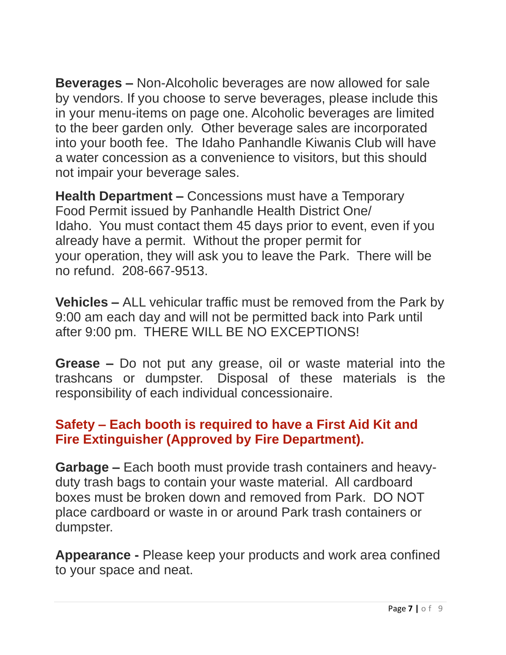**Beverages –** Non-Alcoholic beverages are now allowed for sale by vendors. If you choose to serve beverages, please include this in your menu-items on page one. Alcoholic beverages are limited to the beer garden only. Other beverage sales are incorporated into your booth fee. The Idaho Panhandle Kiwanis Club will have a water concession as a convenience to visitors, but this should not impair your beverage sales.

**Health Department –** Concessions must have a Temporary Food Permit issued by Panhandle Health District One/ Idaho. You must contact them 45 days prior to event, even if you already have a permit. Without the proper permit for your operation, they will ask you to leave the Park. There will be no refund. 208-667-9513.

**Vehicles –** ALL vehicular traffic must be removed from the Park by 9:00 am each day and will not be permitted back into Park until after 9:00 pm. THERE WILL BE NO EXCEPTIONS!

**Grease –** Do not put any grease, oil or waste material into the trashcans or dumpster. Disposal of these materials is the responsibility of each individual concessionaire.

### **Safety – Each booth is required to have a First Aid Kit and Fire Extinguisher (Approved by Fire Department).**

**Garbage –** Each booth must provide trash containers and heavyduty trash bags to contain your waste material. All cardboard boxes must be broken down and removed from Park. DO NOT place cardboard or waste in or around Park trash containers or dumpster.

**Appearance -** Please keep your products and work area confined to your space and neat.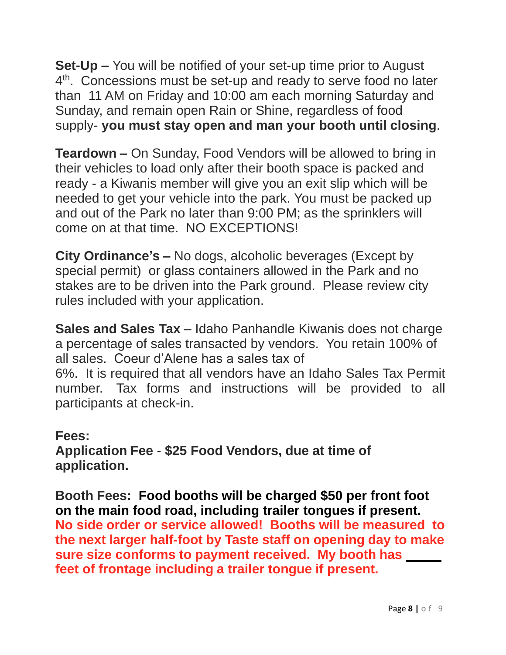**Set-Up –** You will be notified of your set-up time prior to August 4<sup>th</sup>. Concessions must be set-up and ready to serve food no later than 11 AM on Friday and 10:00 am each morning Saturday and Sunday, and remain open Rain or Shine, regardless of food supply- **you must stay open and man your booth until closing**.

**Teardown –** On Sunday, Food Vendors will be allowed to bring in their vehicles to load only after their booth space is packed and ready - a Kiwanis member will give you an exit slip which will be needed to get your vehicle into the park. You must be packed up and out of the Park no later than 9:00 PM; as the sprinklers will come on at that time. NO EXCEPTIONS!

**City Ordinance's –** No dogs, alcoholic beverages (Except by special permit) or glass containers allowed in the Park and no stakes are to be driven into the Park ground. Please review city rules included with your application.

**Sales and Sales Tax** – Idaho Panhandle Kiwanis does not charge a percentage of sales transacted by vendors. You retain 100% of all sales. Coeur d'Alene has a sales tax of 6%. It is required that all vendors have an Idaho Sales Tax Permit number. Tax forms and instructions will be provided to all participants at check-in.

**Fees: Application Fee** - **\$25 Food Vendors, due at time of application.**

**Booth Fees: Food booths will be charged \$50 per front foot on the main food road, including trailer tongues if present. No side order or service allowed! Booths will be measured to the next larger half-foot by Taste staff on opening day to make sure size conforms to payment received. My booth has \_\_\_\_ feet of frontage including a trailer tongue if present.**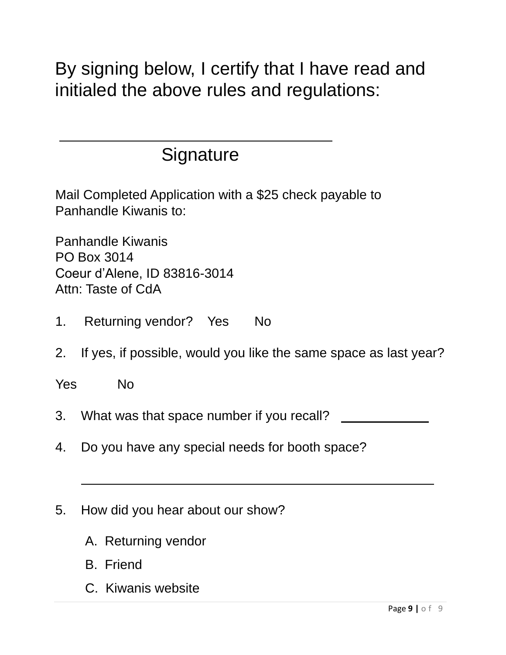By signing below, I certify that I have read and initialed the above rules and regulations:

# **Signature**

Mail Completed Application with a \$25 check payable to Panhandle Kiwanis to:

Panhandle Kiwanis PO Box 3014 Coeur d'Alene, ID 83816-3014 Attn: Taste of CdA

- 1. Returning vendor? Yes No
- 2. If yes, if possible, would you like the same space as last year?

Yes No

- 3. What was that space number if you recall?
- 4. Do you have any special needs for booth space?
- 5. How did you hear about our show?
	- A. Returning vendor
	- B. Friend
	- C. Kiwanis website